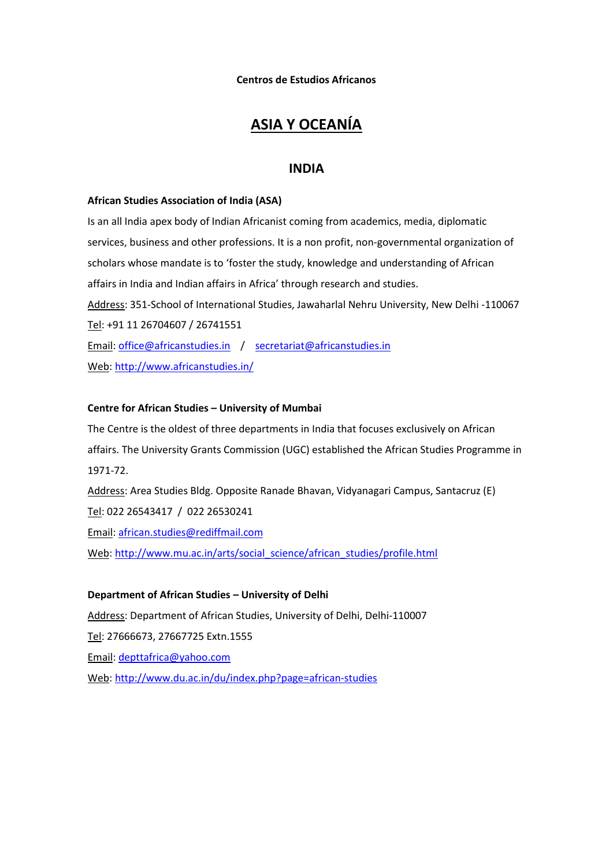**Centros de Estudios Africanos**

# **ASIA Y OCEANÍA**

## **INDIA**

### **African Studies Association of India (ASA)**

Is an all India apex body of Indian Africanist coming from academics, media, diplomatic services, business and other professions. It is a non profit, non-governmental organization of scholars whose mandate is to 'foster the study, knowledge and understanding of African affairs in India and Indian affairs in Africa' through research and studies. Address: 351-School of International Studies, Jawaharlal Nehru University, New Delhi -110067 Tel: +91 11 26704607 / 26741551 Email: [office@africanstudies.in](mailto:office@africanstudies.in) / [secretariat@africanstudies.in](mailto:secretariat@africanstudies.in) Web[: http://www.africanstudies.in/](http://www.africanstudies.in/)

### **Centre for African Studies – University of Mumbai**

The Centre is the oldest of three departments in India that focuses exclusively on African affairs. The University Grants Commission (UGC) established the African Studies Programme in 1971-72.

Address: Area Studies Bldg. Opposite Ranade Bhavan, Vidyanagari Campus, Santacruz (E) Tel: 022 26543417 / 022 26530241 Email: [african.studies@rediffmail.com](mailto:african.studies@rediffmail.com)

Web[: http://www.mu.ac.in/arts/social\\_science/african\\_studies/profile.html](http://www.mu.ac.in/arts/social_science/african_studies/profile.html)

### **Department of African Studies – University of Delhi**

Address: Department of African Studies, University of Delhi, Delhi-110007 Tel: 27666673, 27667725 Extn.1555 Email: [depttafrica@yahoo.com](mailto:depttafrica@yahoo.com) Web[: http://www.du.ac.in/du/index.php?page=african-studies](http://www.du.ac.in/du/index.php?page=african-studies)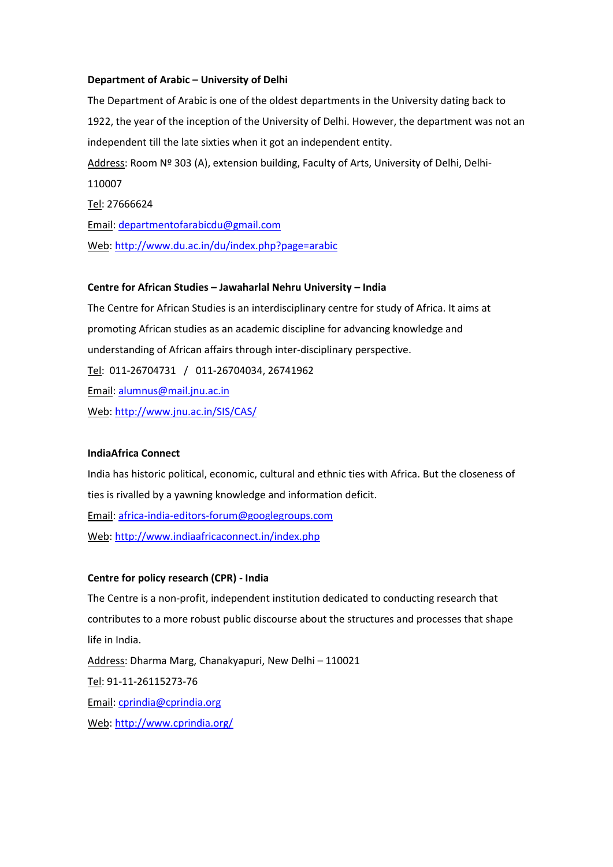### **Department of Arabic – University of Delhi**

The Department of Arabic is one of the oldest departments in the University dating back to 1922, the year of the inception of the University of Delhi. However, the department was not an independent till the late sixties when it got an independent entity. Address: Room Nº 303 (A), extension building, Faculty of Arts, University of Delhi, Delhi-110007 Tel: 27666624 Email: [departmentofarabicdu@gmail.com](mailto:departmentofarabicdu@gmail.com) Web[: http://www.du.ac.in/du/index.php?page=arabic](http://www.du.ac.in/du/index.php?page=arabic)

#### **Centre for African Studies – Jawaharlal Nehru University – India**

The Centre for African Studies is an interdisciplinary centre for study of Africa. It aims at promoting African studies as an academic discipline for advancing knowledge and understanding of African affairs through inter-disciplinary perspective. Tel: 011-26704731 / 011-26704034, 26741962 Email: [alumnus@mail.jnu.ac.in](mailto:alumnus@mail.jnu.ac.in) Web[: http://www.jnu.ac.in/SIS/CAS/](http://www.jnu.ac.in/SIS/CAS/)

#### **IndiaAfrica Connect**

India has historic political, economic, cultural and ethnic ties with Africa. But the closeness of ties is rivalled by a yawning knowledge and information deficit. Email: [africa-india-editors-forum@googlegroups.com](mailto:africa-india-editors-forum@googlegroups.com) Web[: http://www.indiaafricaconnect.in/index.php](http://www.indiaafricaconnect.in/index.php)

### **Centre for policy research (CPR) - India**

The Centre is a non-profit, independent institution dedicated to conducting research that contributes to a more robust public discourse about the structures and processes that shape life in India. Address: Dharma Marg, Chanakyapuri, New Delhi – 110021 Tel: 91-11-26115273-76 Email: [cprindia@cprindia.org](mailto:cprindia@cprindia.org)

Web[: http://www.cprindia.org/](http://www.cprindia.org/)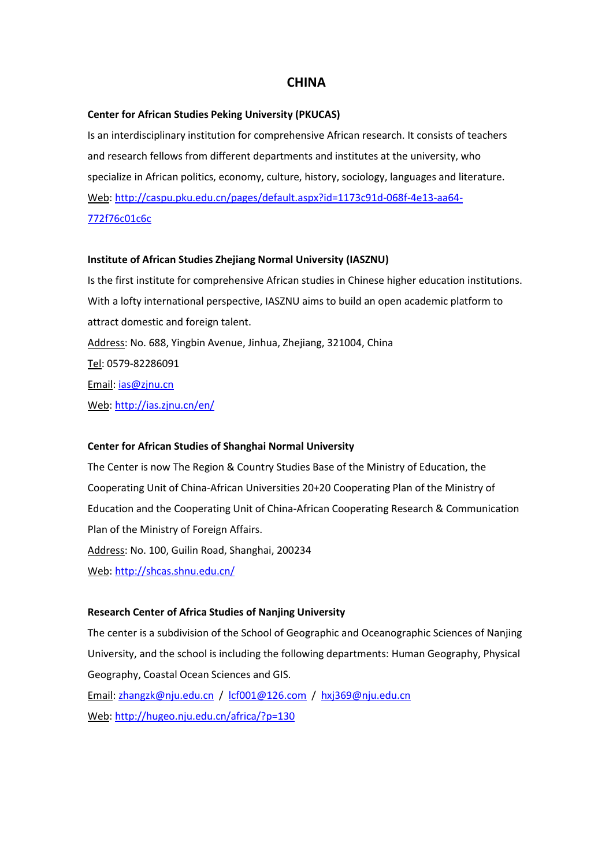## **CHINA**

#### **Center for African Studies Peking University (PKUCAS)**

Is an interdisciplinary institution for comprehensive African research. It consists of teachers and research fellows from different departments and institutes at the university, who specialize in African politics, economy, culture, history, sociology, languages and literature. Web[: http://caspu.pku.edu.cn/pages/default.aspx?id=1173c91d-068f-4e13-aa64-](http://caspu.pku.edu.cn/pages/default.aspx?id=1173c91d-068f-4e13-aa64-772f76c01c6c) [772f76c01c6c](http://caspu.pku.edu.cn/pages/default.aspx?id=1173c91d-068f-4e13-aa64-772f76c01c6c)

#### **Institute of African Studies Zhejiang Normal University (IASZNU)**

Is the first institute for comprehensive African studies in Chinese higher education institutions. With a lofty international perspective, IASZNU aims to build an open academic platform to attract domestic and foreign talent. Address: No. 688, Yingbin Avenue, Jinhua, Zhejiang, 321004, China Tel: 0579-82286091 Email: [ias@zjnu.cn](mailto:ias@zjnu.cn) Web[: http://ias.zjnu.cn/en/](http://ias.zjnu.cn/en/)

#### **Center for African Studies of Shanghai Normal University**

The Center is now The Region & Country Studies Base of the Ministry of Education, the Cooperating Unit of China-African Universities 20+20 Cooperating Plan of the Ministry of Education and the Cooperating Unit of China-African Cooperating Research & Communication Plan of the Ministry of Foreign Affairs. Address: No. 100, Guilin Road, Shanghai, 200234 Web[: http://shcas.shnu.edu.cn/](http://shcas.shnu.edu.cn/)

#### **Research Center of Africa Studies of Nanjing University**

The center is a subdivision of the School of Geographic and Oceanographic Sciences of Nanjing University, and the school is including the following departments: Human Geography, Physical Geography, Coastal Ocean Sciences and GIS. Email: [zhangzk@nju.edu.cn](mailto:zhangzk@nju.edu.cn) / [lcf001@126.com](mailto:lcf001@126.com) / [hxj369@nju.edu.cn](mailto:hxj369@nju.edu.cn)

Web[: http://hugeo.nju.edu.cn/africa/?p=130](http://hugeo.nju.edu.cn/africa/?p=130)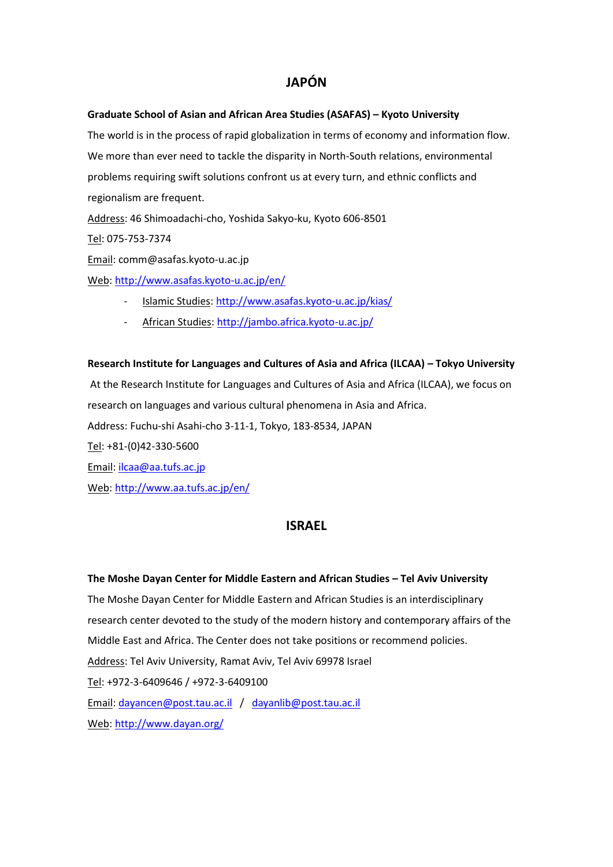# **JAPÓN**

### **Graduate School of Asian and African Area Studies (ASAFAS) – Kyoto University**

The world is in the process of rapid globalization in terms of economy and information flow. We more than ever need to tackle the disparity in North-South relations, environmental problems requiring swift solutions confront us at every turn, and ethnic conflicts and regionalism are frequent.

Address: 46 Shimoadachi-cho, Yoshida Sakyo-ku, Kyoto 606-8501

Tel: 075-753-7374

Email: comm@asafas.kyoto-u.ac.jp

Web[: http://www.asafas.kyoto-u.ac.jp/en/](http://www.asafas.kyoto-u.ac.jp/en/)

- Islamic Studies[: http://www.asafas.kyoto-u.ac.jp/kias/](http://www.asafas.kyoto-u.ac.jp/kias/)
- African Studies[: http://jambo.africa.kyoto-u.ac.jp/](http://jambo.africa.kyoto-u.ac.jp/)

# **Research Institute for Languages and Cultures of Asia and Africa (ILCAA) – Tokyo University**

At the Research Institute for Languages and Cultures of Asia and Africa (ILCAA), we focus on research on languages and various cultural phenomena in Asia and Africa. Address: Fuchu-shi Asahi-cho 3-11-1, Tokyo, 183-8534, JAPAN Tel: +81-(0)42-330-5600

Email: [ilcaa@aa.tufs.ac.jp](mailto:ilcaa@aa.tufs.ac.jp)

Web[: http://www.aa.tufs.ac.jp/en/](http://www.aa.tufs.ac.jp/en/)

# **ISRAEL**

## **The Moshe Dayan Center for Middle Eastern and African Studies – Tel Aviv University**

The Moshe Dayan Center for Middle Eastern and African Studies is an interdisciplinary research center devoted to the study of the modern history and contemporary affairs of the Middle East and Africa. The Center does not take positions or recommend policies. Address: Tel Aviv University, Ramat Aviv, Tel Aviv 69978 Israel Tel: +972-3-6409646 / +972-3-6409100 Email: [dayancen@post.tau.ac.il](mailto:dayancen@post.tau.ac.il) / [dayanlib@post.tau.ac.il](mailto:dayanlib@post.tau.ac.il) Web[: http://www.dayan.org/](http://www.dayan.org/)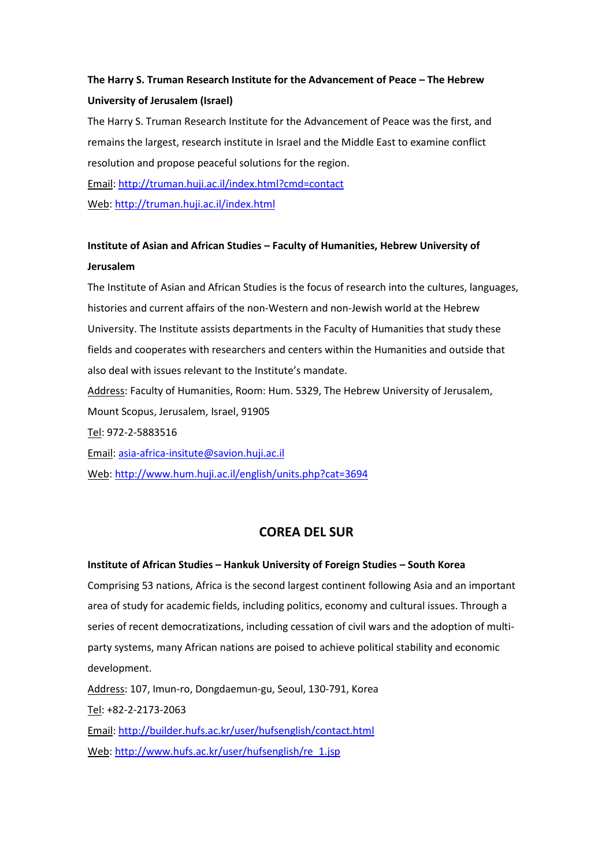# **The Harry S. Truman Research Institute for the Advancement of Peace – The Hebrew University of Jerusalem (Israel)**

The Harry S. Truman Research Institute for the Advancement of Peace was the first, and remains the largest, research institute in Israel and the Middle East to examine conflict resolution and propose peaceful solutions for the region.

Email:<http://truman.huji.ac.il/index.html?cmd=contact> Web[: http://truman.huji.ac.il/index.html](http://truman.huji.ac.il/index.html)

# **Institute of Asian and African Studies – Faculty of Humanities, Hebrew University of Jerusalem**

The Institute of Asian and African Studies is the focus of research into the cultures, languages, histories and current affairs of the non-Western and non-Jewish world at the Hebrew University. The Institute assists departments in the Faculty of Humanities that study these fields and cooperates with researchers and centers within the Humanities and outside that also deal with issues relevant to the Institute's mandate. Address: Faculty of Humanities, Room: Hum. 5329, The Hebrew University of Jerusalem, Mount Scopus, Jerusalem, Israel, 91905 Tel: 972-2-5883516

Email: [asia-africa-insitute@savion.huji.ac.il](mailto:asia-africa-insitute@savion.huji.ac.il)

Web[: http://www.hum.huji.ac.il/english/units.php?cat=3694](http://www.hum.huji.ac.il/english/units.php?cat=3694)

# **COREA DEL SUR**

# **Institute of African Studies – Hankuk University of Foreign Studies – South Korea**

Comprising 53 nations, Africa is the second largest continent following Asia and an important area of study for academic fields, including politics, economy and cultural issues. Through a series of recent democratizations, including cessation of civil wars and the adoption of multiparty systems, many African nations are poised to achieve political stability and economic development.

Address: 107, Imun-ro, Dongdaemun-gu, Seoul, 130-791, Korea

Tel: +82-2-2173-2063

Email:<http://builder.hufs.ac.kr/user/hufsenglish/contact.html>

Web[: http://www.hufs.ac.kr/user/hufsenglish/re\\_1.jsp](http://www.hufs.ac.kr/user/hufsenglish/re_1.jsp)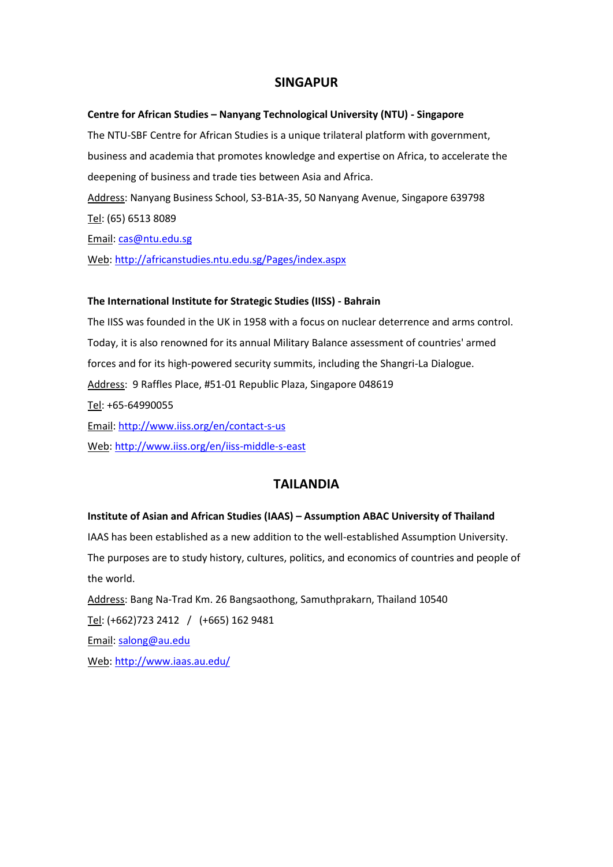# **SINGAPUR**

#### **Centre for African Studies – Nanyang Technological University (NTU) - Singapore**

The NTU-SBF Centre for African Studies is a unique trilateral platform with government, business and academia that promotes knowledge and expertise on Africa, to accelerate the deepening of business and trade ties between Asia and Africa. Address: Nanyang Business School, S3-B1A-35, 50 Nanyang Avenue, Singapore 639798 Tel: (65) 6513 8089 Email: [cas@ntu.edu.sg](mailto:cas@ntu.edu.sg)

Web[: http://africanstudies.ntu.edu.sg/Pages/index.aspx](http://africanstudies.ntu.edu.sg/Pages/index.aspx)

#### **The International Institute for Strategic Studies (IISS) - Bahrain**

The IISS was founded in the UK in 1958 with a focus on nuclear deterrence and arms control. Today, it is also renowned for its annual Military Balance assessment of countries' armed forces and for its high-powered security summits, including the Shangri-La Dialogue. Address: 9 Raffles Place, #51-01 Republic Plaza, Singapore 048619 Tel: +65-64990055 Email:<http://www.iiss.org/en/contact-s-us> Web[: http://www.iiss.org/en/iiss-middle-s-east](http://www.iiss.org/en/iiss-middle-s-east)

# **TAILANDIA**

### **Institute of Asian and African Studies (IAAS) – Assumption ABAC University of Thailand**

IAAS has been established as a new addition to the well-established Assumption University. The purposes are to study history, cultures, politics, and economics of countries and people of the world. Address: Bang Na-Trad Km. 26 Bangsaothong, Samuthprakarn, Thailand 10540 Tel: (+662)723 2412 / (+665) 162 9481

Email: [salong@au.edu](mailto:salong@au.edu)

Web[: http://www.iaas.au.edu/](http://www.iaas.au.edu/)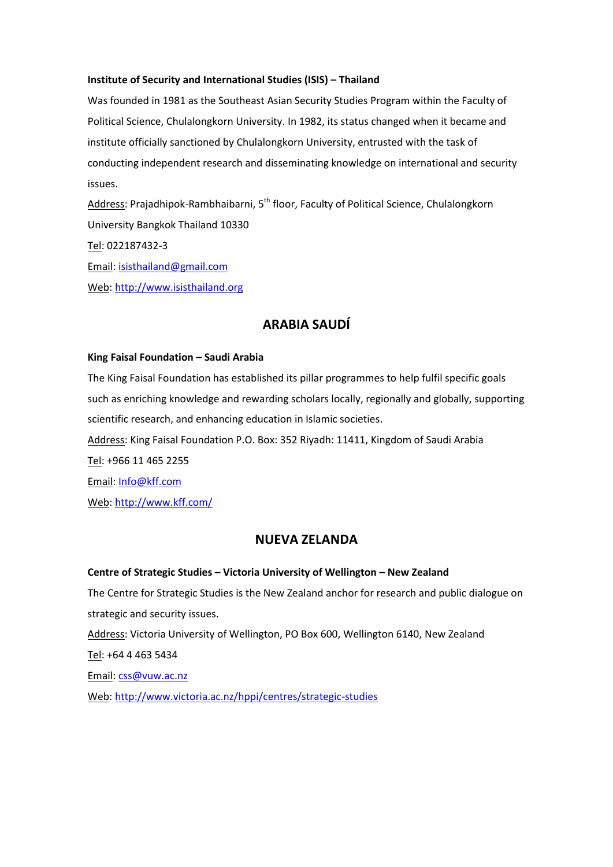### **Institute of Security and International Studies (ISIS) – Thailand**

Was founded in 1981 as the Southeast Asian Security Studies Program within the Faculty of Political Science, Chulalongkorn University. In 1982, its status changed when it became and institute officially sanctioned by Chulalongkorn University, entrusted with the task of conducting independent research and disseminating knowledge on international and security issues.

Address: Prajadhipok-Rambhaibarni, 5<sup>th</sup> floor, Faculty of Political Science, Chulalongkorn University Bangkok Thailand 10330 Tel: 022187432-3 Email: [isisthailand@gmail.com](mailto:isisthailand@gmail.com) Web[: http://www.isisthailand.org](http://www.isisthailand.org/)

# **ARABIA SAUDÍ**

#### **King Faisal Foundation – Saudi Arabia**

The King Faisal Foundation has established its pillar programmes to help fulfil specific goals such as enriching knowledge and rewarding scholars locally, regionally and globally, supporting scientific research, and enhancing education in Islamic societies. Address: King Faisal Foundation P.O. Box: 352 Riyadh: 11411, Kingdom of Saudi Arabia Tel: +966 11 465 2255 Email: [Info@kff.com](mailto:Info@kff.com) Web[: http://www.kff.com/](http://www.kff.com/)

## **NUEVA ZELANDA**

#### **Centre of Strategic Studies – Victoria University of Wellington – New Zealand**

The Centre for Strategic Studies is the New Zealand anchor for research and public dialogue on strategic and security issues.

Address: Victoria University of Wellington, PO Box 600, Wellington 6140, New Zealand

Tel: +64 4 463 5434

Email: [css@vuw.ac.nz](mailto:css@vuw.ac.nz)

Web[: http://www.victoria.ac.nz/hppi/centres/strategic-studies](http://www.victoria.ac.nz/hppi/centres/strategic-studies)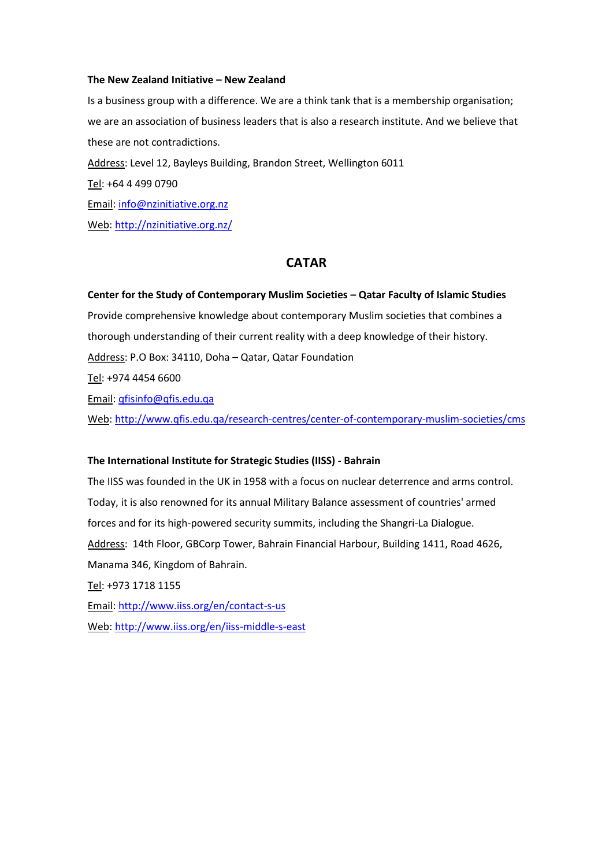#### **The New Zealand Initiative – New Zealand**

Is a business group with a difference. We are a think tank that is a membership organisation; we are an association of business leaders that is also a research institute. And we believe that these are not contradictions. Address: Level 12, Bayleys Building, Brandon Street, Wellington 6011 Tel: +64 4 499 0790 Email: [info@nzinitiative.org.nz](mailto:info@nzinitiative.org.nz) Web[: http://nzinitiative.org.nz/](http://nzinitiative.org.nz/)

# **CATAR**

#### **Center for the Study of Contemporary Muslim Societies – Qatar Faculty of Islamic Studies**

Provide comprehensive knowledge about contemporary Muslim societies that combines a thorough understanding of their current reality with a deep knowledge of their history. Address: P.O Box: 34110, Doha – Qatar, Qatar Foundation

Tel: +974 4454 6600

Email: [qfisinfo@qfis.edu.qa](mailto:qfisinfo@qfis.edu.qa)

Web[: http://www.qfis.edu.qa/research-centres/center-of-contemporary-muslim-societies/cms](http://www.qfis.edu.qa/research-centres/center-of-contemporary-muslim-societies/cms)

#### **The International Institute for Strategic Studies (IISS) - Bahrain**

The IISS was founded in the UK in 1958 with a focus on nuclear deterrence and arms control. Today, it is also renowned for its annual Military Balance assessment of countries' armed forces and for its high-powered security summits, including the Shangri-La Dialogue. Address: 14th Floor, GBCorp Tower, Bahrain Financial Harbour, Building 1411, Road 4626, Manama 346, Kingdom of Bahrain. Tel: +973 1718 1155

Email:<http://www.iiss.org/en/contact-s-us>

Web[: http://www.iiss.org/en/iiss-middle-s-east](http://www.iiss.org/en/iiss-middle-s-east)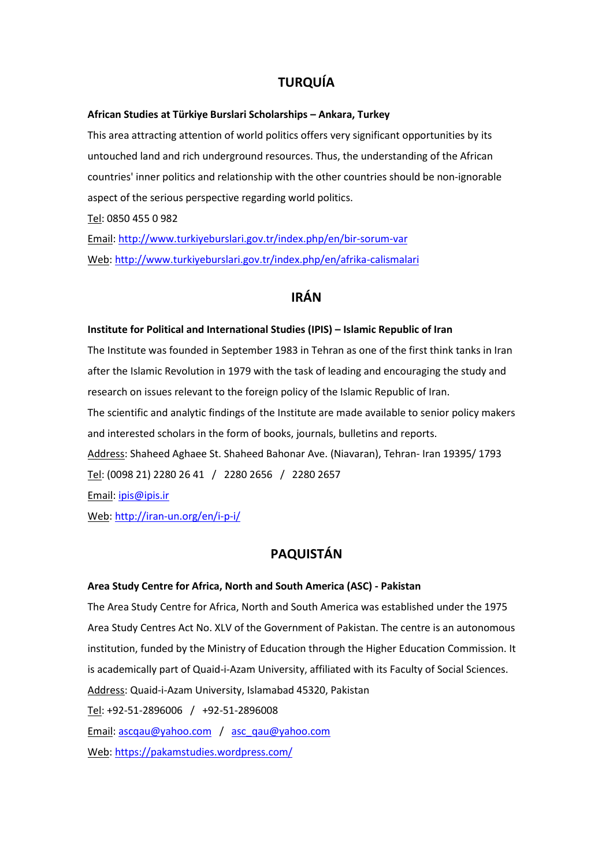# **TURQUÍA**

#### **African Studies at Türkiye Burslari Scholarships – Ankara, Turkey**

This area attracting attention of world politics offers very significant opportunities by its untouched land and rich underground resources. Thus, the understanding of the African countries' inner politics and relationship with the other countries should be non-ignorable aspect of the serious perspective regarding world politics.

Tel: 0850 455 0 982

Email:<http://www.turkiyeburslari.gov.tr/index.php/en/bir-sorum-var> Web[: http://www.turkiyeburslari.gov.tr/index.php/en/afrika-calismalari](http://www.turkiyeburslari.gov.tr/index.php/en/afrika-calismalari)

# **IRÁN**

### **Institute for Political and International Studies (IPIS) – Islamic Republic of Iran**

The Institute was founded in September 1983 in Tehran as one of the first think tanks in Iran after the Islamic Revolution in 1979 with the task of leading and encouraging the study and research on issues relevant to the foreign policy of the Islamic Republic of Iran. The scientific and analytic findings of the Institute are made available to senior policy makers and interested scholars in the form of books, journals, bulletins and reports. Address: Shaheed Aghaee St. Shaheed Bahonar Ave. (Niavaran), Tehran- Iran 19395/ 1793 Tel: (0098 21) 2280 26 41 / 2280 2656 / 2280 2657 Email: [ipis@ipis.ir](mailto:ipis@ipis.ir)

Web[: http://iran-un.org/en/i-p-i/](http://iran-un.org/en/i-p-i/)

# **PAQUISTÁN**

### **Area Study Centre for Africa, North and South America (ASC) - Pakistan**

The Area Study Centre for Africa, North and South America was established under the 1975 Area Study Centres Act No. XLV of the Government of Pakistan. The centre is an autonomous institution, funded by the Ministry of Education through the Higher Education Commission. It is academically part of Quaid-i-Azam University, affiliated with its Faculty of Social Sciences. Address: Quaid-i-Azam University, Islamabad 45320, Pakistan Tel: +92-51-2896006 / +92-51-2896008 Email: [ascqau@yahoo.com](mailto:ascqau@yahoo.com) / [asc\\_qau@yahoo.com](mailto:asc_qau@yahoo.com) Web[: https://pakamstudies.wordpress.com/](https://pakamstudies.wordpress.com/)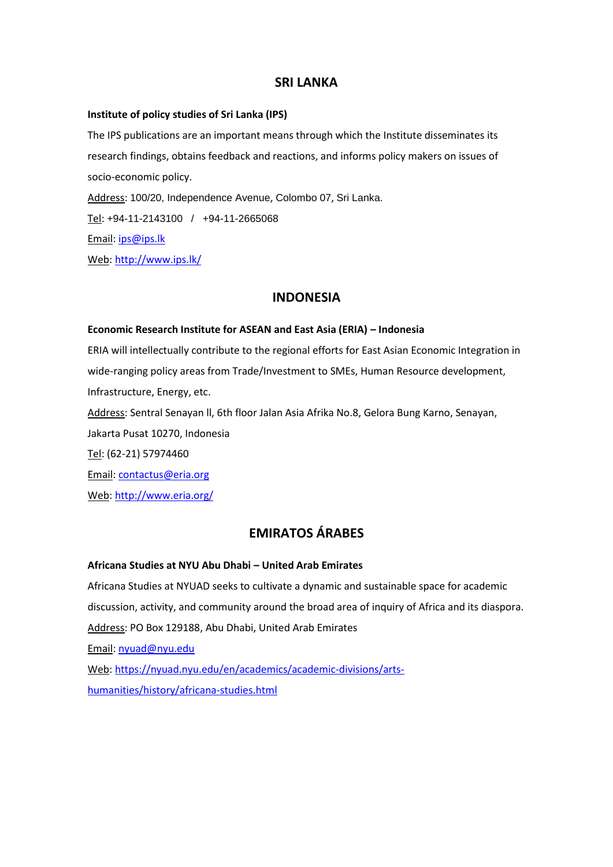# **SRI LANKA**

### **Institute of policy studies of Sri Lanka (IPS)**

The IPS publications are an important means through which the Institute disseminates its research findings, obtains feedback and reactions, and informs policy makers on issues of socio-economic policy. Address: 100/20, Independence Avenue, Colombo 07, Sri Lanka. Tel: +94-11-2143100 / +94-11-2665068 Email: [ips@ips.lk](mailto:ips@ips.lk)

Web[: http://www.ips.lk/](http://www.ips.lk/)

## **INDONESIA**

#### **Economic Research Institute for ASEAN and East Asia (ERIA) – Indonesia**

ERIA will intellectually contribute to the regional efforts for East Asian Economic Integration in wide-ranging policy areas from Trade/Investment to SMEs, Human Resource development, Infrastructure, Energy, etc.

Address: Sentral Senayan ll, 6th floor Jalan Asia Afrika No.8, Gelora Bung Karno, Senayan, Jakarta Pusat 10270, Indonesia

Tel: (62-21) 57974460

Email: [contactus@eria.org](mailto:contactus@eria.org)

Web[: http://www.eria.org/](http://www.eria.org/)

# **EMIRATOS ÁRABES**

### **Africana Studies at NYU Abu Dhabi – United Arab Emirates**

Africana Studies at NYUAD seeks to cultivate a dynamic and sustainable space for academic discussion, activity, and community around the broad area of inquiry of Africa and its diaspora. Address: PO Box 129188, Abu Dhabi, United Arab Emirates Email: [nyuad@nyu.edu](mailto:nyuad@nyu.edu) Web[: https://nyuad.nyu.edu/en/academics/academic-divisions/arts](https://nyuad.nyu.edu/en/academics/academic-divisions/arts-humanities/history/africana-studies.html)[humanities/history/africana-studies.html](https://nyuad.nyu.edu/en/academics/academic-divisions/arts-humanities/history/africana-studies.html)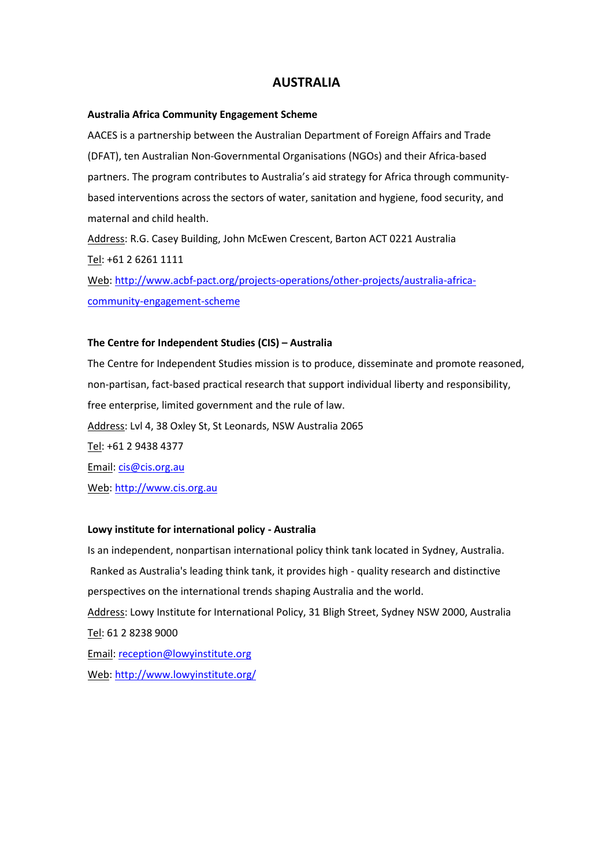# **AUSTRALIA**

#### **Australia Africa Community Engagement Scheme**

AACES is a partnership between the Australian Department of Foreign Affairs and Trade (DFAT), ten Australian Non-Governmental Organisations (NGOs) and their Africa-based partners. The program contributes to Australia's aid strategy for Africa through communitybased interventions across the sectors of water, sanitation and hygiene, food security, and maternal and child health.

Address: R.G. Casey Building, John McEwen Crescent, Barton ACT 0221 Australia Tel: +61 2 6261 1111

Web[: http://www.acbf-pact.org/projects-operations/other-projects/australia-africa](http://www.acbf-pact.org/projects-operations/other-projects/australia-africa-community-engagement-scheme)[community-engagement-scheme](http://www.acbf-pact.org/projects-operations/other-projects/australia-africa-community-engagement-scheme)

### **The Centre for Independent Studies (CIS) – Australia**

The Centre for Independent Studies mission is to produce, disseminate and promote reasoned, non-partisan, fact-based practical research that support individual liberty and responsibility, free enterprise, limited government and the rule of law. Address: Lvl 4, 38 Oxley St, St Leonards, NSW Australia 2065 Tel: +61 2 9438 4377 Email: [cis@cis.org.au](mailto:cis@cis.org.au) Web[: http://www.cis.org.au](http://www.cis.org.au/)

## **Lowy institute for international policy - Australia**

Is an independent, nonpartisan international policy think tank located in Sydney, Australia. Ranked as Australia's leading think tank, it provides high - quality research and distinctive perspectives on the international trends shaping Australia and the world. Address: Lowy Institute for International Policy, 31 Bligh Street, Sydney NSW 2000, Australia Tel: 61 2 8238 9000 Email: [reception@lowyinstitute.org](mailto:reception@lowyinstitute.org) Web[: http://www.lowyinstitute.org/](http://www.lowyinstitute.org/)